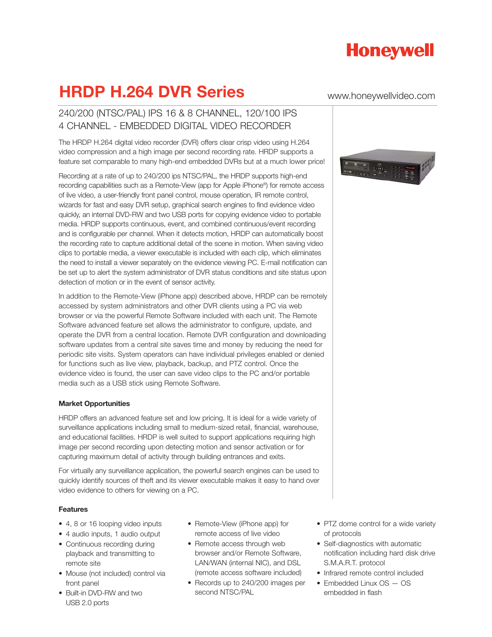

## **HRDP H.264 DVR Series** www.honeywellvideo.com

### 240/200 (NTSC/PAL) IPS 16 & 8 CHANNEL, 120/100 IPS 4 CHANNEL - EMBEDDED DIGITAL VIDEO RECORDER

The HRDP H.264 digital video recorder (DVR) offers clear crisp video using H.264 video compression and a high image per second recording rate. HRDP supports a feature set comparable to many high-end embedded DVRs but at a much lower price!

Recording at a rate of up to 240/200 ips NTSC/PAL, the HRDP supports high-end recording capabilities such as a Remote-View (app for Apple iPhone®) for remote access of live video, a user-friendly front panel control, mouse operation, IR remote control, wizards for fast and easy DVR setup, graphical search engines to find evidence video quickly, an internal DVD-RW and two USB ports for copying evidence video to portable media. HRDP supports continuous, event, and combined continuous/event recording and is configurable per channel. When it detects motion, HRDP can automatically boost the recording rate to capture additional detail of the scene in motion. When saving video clips to portable media, a viewer executable is included with each clip, which eliminates the need to install a viewer separately on the evidence viewing PC. E-mail notification can be set up to alert the system administrator of DVR status conditions and site status upon detection of motion or in the event of sensor activity.

In addition to the Remote-View (iPhone app) described above, HRDP can be remotely accessed by system administrators and other DVR clients using a PC via web browser or via the powerful Remote Software included with each unit. The Remote Software advanced feature set allows the administrator to configure, update, and operate the DVR from a central location. Remote DVR configuration and downloading software updates from a central site saves time and money by reducing the need for periodic site visits. System operators can have individual privileges enabled or denied for functions such as live view, playback, backup, and PTZ control. Once the evidence video is found, the user can save video clips to the PC and/or portable media such as a USB stick using Remote Software.

#### **Market Opportunities**

HRDP offers an advanced feature set and low pricing. It is ideal for a wide variety of surveillance applications including small to medium-sized retail, financial, warehouse, and educational facilities. HRDP is well suited to support applications requiring high image per second recording upon detecting motion and sensor activation or for capturing maximum detail of activity through building entrances and exits.

For virtually any surveillance application, the powerful search engines can be used to quickly identify sources of theft and its viewer executable makes it easy to hand over video evidence to others for viewing on a PC.

#### **Features**

- 4, 8 or 16 looping video inputs
- 4 audio inputs, 1 audio output
- Continuous recording during playback and transmitting to remote site
- Mouse (not included) control via front panel
- Built-in DVD-RW and two USB 2.0 ports
- Remote-View (iPhone app) for remote access of live video
- Remote access through web browser and/or Remote Software, LAN/WAN (internal NIC), and DSL (remote access software included)
- Records up to 240/200 images per second NTSC/PAL



- PTZ dome control for a wide variety of protocols
- Self-diagnostics with automatic notification including hard disk drive S.M.A.R.T. protocol
- Infrared remote control included
- Embedded Linux OS OS embedded in flash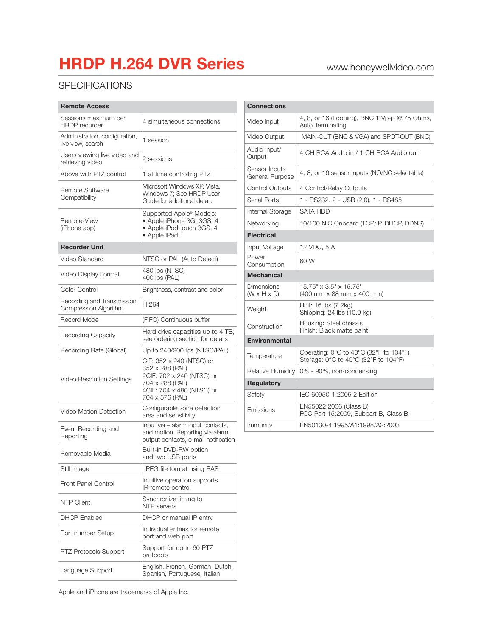# **HRDP H.264 DVR Series** www.honeywellvideo.com

### **SPECIFICATIONS**

| <b>Remote Access</b>                                |                                                                                                                                             |  |
|-----------------------------------------------------|---------------------------------------------------------------------------------------------------------------------------------------------|--|
| Sessions maximum per<br><b>HRDP</b> recorder        | 4 simultaneous connections                                                                                                                  |  |
| Administration, configuration,<br>live view, search | 1 session                                                                                                                                   |  |
| Users viewing live video and<br>retrieving video    | 2 sessions                                                                                                                                  |  |
| Above with PTZ control                              | 1 at time controlling PTZ                                                                                                                   |  |
| Remote Software<br>Compatibility                    | Microsoft Windows XP, Vista,<br>Windows 7; See HRDP User<br>Guide for additional detail.                                                    |  |
| Remote-View<br>(iPhone app)                         | Supported Apple® Models:<br>• Apple iPhone 3G, 3GS, 4<br>• Apple iPod touch 3GS, 4<br>• Apple iPad 1                                        |  |
| <b>Recorder Unit</b>                                |                                                                                                                                             |  |
| Video Standard                                      | NTSC or PAL (Auto Detect)                                                                                                                   |  |
| Video Display Format                                | 480 ips (NTSC)<br>400 ips (PAL)                                                                                                             |  |
| Color Control                                       | Brightness, contrast and color                                                                                                              |  |
| Recording and Transmission<br>Compression Algorithm | H.264                                                                                                                                       |  |
| Record Mode                                         | (FIFO) Continuous buffer                                                                                                                    |  |
| <b>Recording Capacity</b>                           | Hard drive capacities up to 4 TB,<br>see ordering section for details                                                                       |  |
| Recording Rate (Global)                             | Up to 240/200 ips (NTSC/PAL)                                                                                                                |  |
| Video Resolution Settings                           | CIF: 352 x 240 (NTSC) or<br>352 x 288 (PAL)<br>2CIF: 702 x 240 (NTSC) or<br>704 x 288 (PAL)<br>4CIF: 704 x 480 (NTSC) or<br>704 x 576 (PAL) |  |
| Video Motion Detection                              | Configurable zone detection<br>area and sensitivity                                                                                         |  |
| Event Recording and<br>Reporting                    | Input via - alarm input contacts,<br>and motion. Reporting via alarm<br>output contacts, e-mail notification                                |  |
| Removable Media                                     | Built-in DVD-RW option<br>and two USB ports                                                                                                 |  |
| Still Image                                         | JPEG file format using RAS                                                                                                                  |  |
| Front Panel Control                                 | Intuitive operation supports<br>IR remote control                                                                                           |  |
| <b>NTP Client</b>                                   | Synchronize timing to<br>NTP servers                                                                                                        |  |
| <b>DHCP Enabled</b>                                 | DHCP or manual IP entry                                                                                                                     |  |
| Port number Setup                                   | Individual entries for remote<br>port and web port                                                                                          |  |
| <b>PTZ Protocols Support</b>                        | Support for up to 60 PTZ<br>protocols                                                                                                       |  |
| Language Support                                    | English, French, German, Dutch,<br>Spanish, Portuguese, Italian                                                                             |  |

| <b>Connections</b>                    |                                                                                |  |
|---------------------------------------|--------------------------------------------------------------------------------|--|
| Video Input                           | 4, 8, or 16 (Looping), BNC 1 Vp-p @ 75 Ohms,<br>Auto Terminating               |  |
| Video Output                          | MAIN-OUT (BNC & VGA) and SPOT-OUT (BNC)                                        |  |
| Audio Input/<br>Output                | 4 CH RCA Audio in / 1 CH RCA Audio out                                         |  |
| Sensor Inputs<br>General Purpose      | 4, 8, or 16 sensor inputs (NO/NC selectable)                                   |  |
| <b>Control Outputs</b>                | 4 Control/Relay Outputs                                                        |  |
| Serial Ports                          | 1 - RS232, 2 - USB (2.0), 1 - RS485                                            |  |
| Internal Storage                      | <b>SATA HDD</b>                                                                |  |
| Networking                            | 10/100 NIC Onboard (TCP/IP, DHCP, DDNS)                                        |  |
| <b>Electrical</b>                     |                                                                                |  |
| Input Voltage                         | 12 VDC, 5 A                                                                    |  |
| Power<br>Consumption                  | 60 W                                                                           |  |
| <b>Mechanical</b>                     |                                                                                |  |
| Dimensions<br>$(W \times H \times D)$ | 15.75" x 3.5" x 15.75"<br>(400 mm x 88 mm x 400 mm)                            |  |
| Weight                                | Unit: 16 lbs (7.2kg)<br>Shipping: 24 lbs (10.9 kg)                             |  |
| Construction                          | Housing: Steel chassis<br>Finish: Black matte paint                            |  |
| <b>Environmental</b>                  |                                                                                |  |
| Temperature                           | Operating: 0°C to 40°C (32°F to 104°F)<br>Storage: 0°C to 40°C (32°F to 104°F) |  |
| Relative Humidity                     | 0% - 90%, non-condensing                                                       |  |
| <b>Regulatory</b>                     |                                                                                |  |
| Safety                                | IEC 60950-1:2005 2 Edition                                                     |  |
| Emissions                             | EN55022:2006 (Class B)<br>FCC Part 15:2009, Subpart B, Class B                 |  |
| Immunity                              | EN50130-4:1995/A1:1998/A2:2003                                                 |  |

Apple and iPhone are trademarks of Apple Inc.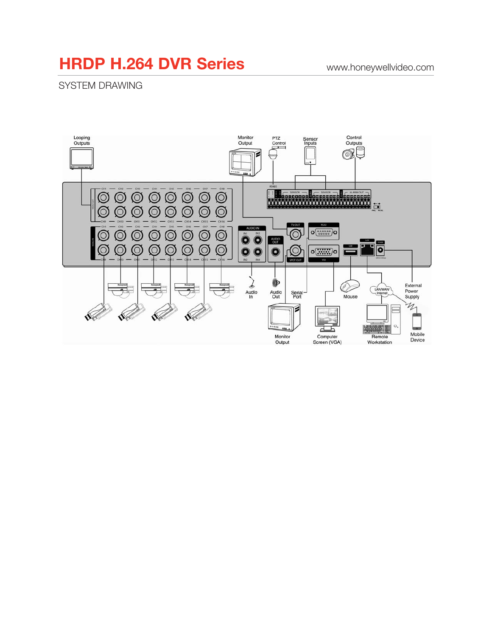### **HRDP H.264 DVR Series** www.honeywellvideo.com

SYSTEM DRAWING